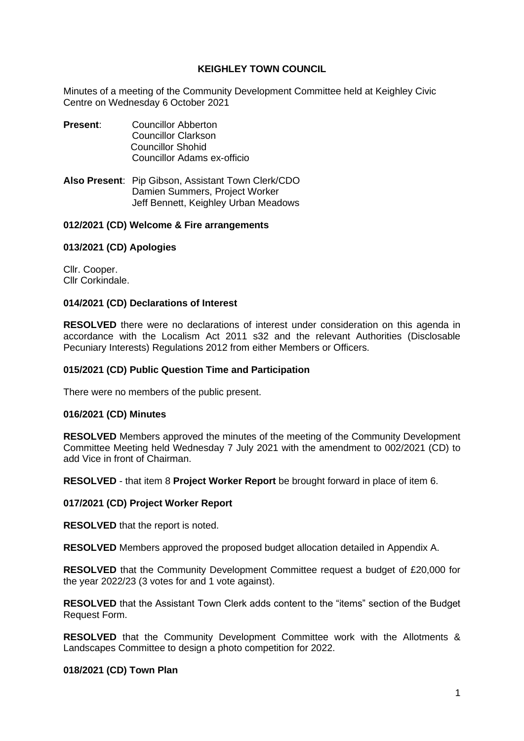# **KEIGHLEY TOWN COUNCIL**

Minutes of a meeting of the Community Development Committee held at Keighley Civic Centre on Wednesday 6 October 2021

- **Present:** Councillor Abberton Councillor Clarkson Councillor Shohid Councillor Adams ex-officio
- **Also Present**: Pip Gibson, Assistant Town Clerk/CDO Damien Summers, Project Worker Jeff Bennett, Keighley Urban Meadows

# **012/2021 (CD) Welcome & Fire arrangements**

# **013/2021 (CD) Apologies**

Cllr. Cooper. Cllr Corkindale.

## **014/2021 (CD) Declarations of Interest**

**RESOLVED** there were no declarations of interest under consideration on this agenda in accordance with the Localism Act 2011 s32 and the relevant Authorities (Disclosable Pecuniary Interests) Regulations 2012 from either Members or Officers.

## **015/2021 (CD) Public Question Time and Participation**

There were no members of the public present.

## **016/2021 (CD) Minutes**

**RESOLVED** Members approved the minutes of the meeting of the Community Development Committee Meeting held Wednesday 7 July 2021 with the amendment to 002/2021 (CD) to add Vice in front of Chairman.

**RESOLVED** - that item 8 **Project Worker Report** be brought forward in place of item 6.

## **017/2021 (CD) Project Worker Report**

**RESOLVED** that the report is noted.

**RESOLVED** Members approved the proposed budget allocation detailed in Appendix A.

**RESOLVED** that the Community Development Committee request a budget of £20,000 for the year 2022/23 (3 votes for and 1 vote against).

**RESOLVED** that the Assistant Town Clerk adds content to the "items" section of the Budget Request Form.

**RESOLVED** that the Community Development Committee work with the Allotments & Landscapes Committee to design a photo competition for 2022.

## **018/2021 (CD) Town Plan**